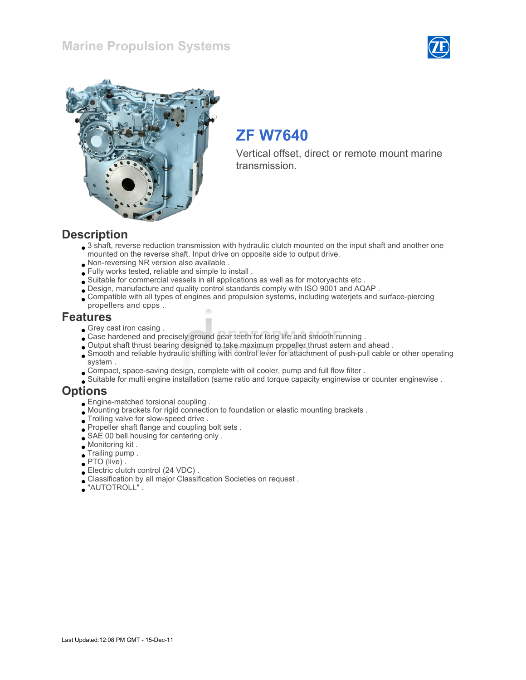### Marine Propulsion Systems





## ZF W7640

Vertical offset, direct or remote mount marine transmission.

#### **Description**

- 3 shaft, reverse reduction transmission with hydraulic clutch mounted on the input shaft and another one mounted on the reverse shaft. Input drive on opposite side to output drive.
- Non-reversing NR version also available .
- Fully works tested, reliable and simple to install .
- Suitable for commercial vessels in all applications as well as for motoryachts etc .
- Design, manufacture and quality control standards comply with ISO 9001 and AQAP .
- Compatible with all types of engines and propulsion systems, including waterjets and surface-piercing propellers and cpps .

#### Features

- Grey cast iron casing.
- Case hardened and precisely ground gear teeth for long life and smooth running .
- Output shaft thrust bearing designed to take maximum propeller thrust astern and ahead .
- Smooth and reliable hydraulic shifting with control lever for attachment of push-pull cable or other operating system .
- Compact, space-saving design, complete with oil cooler, pump and full flow filter .
- Suitable for multi engine installation (same ratio and torque capacity enginewise or counter enginewise .

### **Options**

- Engine-matched torsional coupling .
- Mounting brackets for rigid connection to foundation or elastic mounting brackets .
- $\bullet$  Trolling valve for slow-speed drive .
- Propeller shaft flange and coupling bolt sets .
- SAE 00 bell housing for centering only .
- Monitoring kit .
- Trailing pump .
- PTO (live) .
- Electric clutch control (24 VDC) .
- Classification by all major Classification Societies on request .
- "AUTOTROLL" .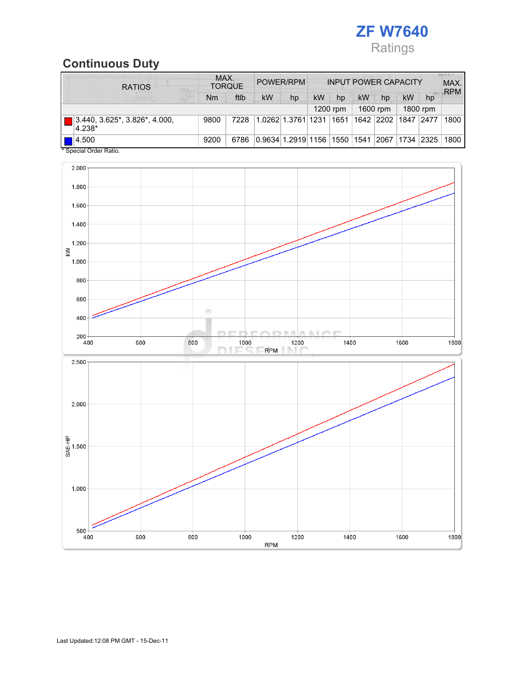

## Continuous Duty

| <b>RATIOS</b>                                       | MAX.<br><b>TORQUE</b> |      | POWER/RPM |                         | <b>INPUT POWER CAPACITY</b> |      |          |            |             | <b>MIUXI</b><br>MAX.<br><b>RPM</b> |      |
|-----------------------------------------------------|-----------------------|------|-----------|-------------------------|-----------------------------|------|----------|------------|-------------|------------------------------------|------|
| <b>TELEVISION</b>                                   | Nm                    | ftlb | <b>kW</b> | hp                      | kW                          | hp   | kW       | hp         | <b>kW</b>   | hp                                 |      |
|                                                     |                       |      |           |                         |                             |      | 1600 rpm |            | 1800 rpm    |                                    |      |
| $3.440, 3.625$ *, $3.826$ *, $4.000$ ,<br>$ 4.238*$ | 9800                  | 7228 |           | 1.0262 1.3761 1231      |                             | 1651 |          | 1642  2202 | 1847 2477   |                                    | 1800 |
| $\blacksquare$ 4.500<br>* Concial Order Patio       | 9200                  | 6786 |           | 0.9634 1.2919 1156 1550 |                             |      | 1541     | 2067       | 1734   2325 |                                    | 1800 |



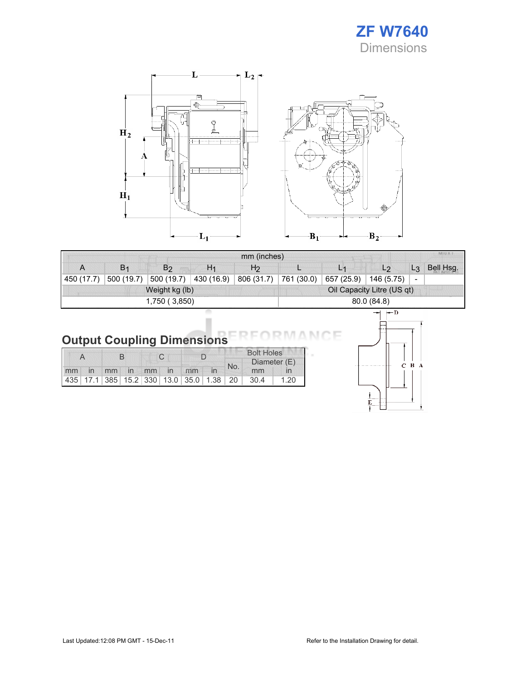



|            |                |                |                            | MILLY J        |            |            |                |                          |           |
|------------|----------------|----------------|----------------------------|----------------|------------|------------|----------------|--------------------------|-----------|
| A          | B <sub>1</sub> | B <sub>2</sub> | H <sub>1</sub>             | H <sub>2</sub> |            | L1         | L <sub>2</sub> | $L_3$                    | Bell Hsg. |
| 450 (17.7) | 500 (19.7)     | 500 (19.7)     | 430 (16.9)                 | 806 (31.7)     | 761 (30.0) | 657 (25.9) | 146 (5.75)     | $\overline{\phantom{a}}$ |           |
|            |                | Weight kg (lb) | Oil Capacity Litre (US qt) |                |            |            |                |                          |           |
|            |                | 1,750 (3,850)  | 80.0 (84.8)                |                |            |            |                |                          |           |
|            |                |                |                            |                |            |            |                |                          |           |

# **Output Coupling Dimensions**

|  |  |  |  |                      |                                                         | <b>Bolt Holes</b> |     |              |      |  |
|--|--|--|--|----------------------|---------------------------------------------------------|-------------------|-----|--------------|------|--|
|  |  |  |  |                      |                                                         |                   | No. | Diameter (E) |      |  |
|  |  |  |  | mm in mm in mm in mm |                                                         |                   |     | mm           |      |  |
|  |  |  |  |                      | 435   17.1   385   15.2   330   13.0   35.0   1.38   20 |                   |     | 30.4         | 1.20 |  |